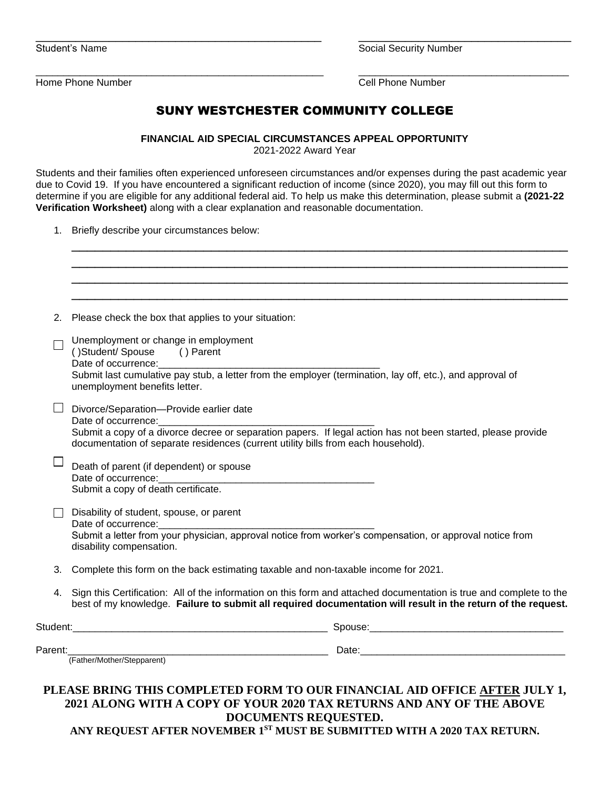|  |  |  | Student's Name |
|--|--|--|----------------|
|--|--|--|----------------|

Social Security Number

\_\_\_\_\_\_\_\_\_\_\_\_\_\_\_\_\_\_\_\_\_\_\_\_\_\_\_\_\_\_\_\_\_\_\_\_\_\_\_\_\_\_\_\_\_\_\_\_\_\_\_\_ \_\_\_\_\_\_\_\_\_\_\_\_\_\_\_\_\_\_\_\_\_\_\_\_\_\_\_\_\_\_\_\_\_\_\_\_\_\_ Home Phone Number Cell Phone Number

## SUNY WESTCHESTER COMMUNITY COLLEGE

\_\_\_\_\_\_\_\_\_\_\_\_\_\_\_\_\_\_\_\_\_\_\_\_\_\_\_\_\_\_\_\_\_\_\_\_\_\_\_\_\_\_\_ \_\_\_\_\_\_\_\_\_\_\_\_\_\_\_\_\_\_\_\_\_\_\_\_\_\_\_\_\_\_\_\_

**FINANCIAL AID SPECIAL CIRCUMSTANCES APPEAL OPPORTUNITY**

2021-2022 Award Year

Students and their families often experienced unforeseen circumstances and/or expenses during the past academic year due to Covid 19. If you have encountered a significant reduction of income (since 2020), you may fill out this form to determine if you are eligible for any additional federal aid. To help us make this determination, please submit a **(2021-22 Verification Worksheet)** along with a clear explanation and reasonable documentation.

1. Briefly describe your circumstances below:

| 2.      | Please check the box that applies to your situation:                                                                                                                                                                                                                                       |  |  |  |  |
|---------|--------------------------------------------------------------------------------------------------------------------------------------------------------------------------------------------------------------------------------------------------------------------------------------------|--|--|--|--|
|         | Unemployment or change in employment<br>()Student/Spouse () Parent<br>Submit last cumulative pay stub, a letter from the employer (termination, lay off, etc.), and approval of<br>unemployment benefits letter.                                                                           |  |  |  |  |
|         | Divorce/Separation-Provide earlier date<br>Date of occurrence:<br>Date of occurrence:<br>Submit a copy of a divorce decree or separation papers. If legal action has not been started, please provide<br>documentation of separate residences (current utility bills from each household). |  |  |  |  |
|         | Death of parent (if dependent) or spouse<br>Submit a copy of death certificate.                                                                                                                                                                                                            |  |  |  |  |
|         | Disability of student, spouse, or parent<br>Date of occurrence:<br>Submit a letter from your physician, approval notice from worker's compensation, or approval notice from<br>disability compensation.                                                                                    |  |  |  |  |
| 3.      | Complete this form on the back estimating taxable and non-taxable income for 2021.                                                                                                                                                                                                         |  |  |  |  |
| 4.      | Sign this Certification: All of the information on this form and attached documentation is true and complete to the<br>best of my knowledge. Failure to submit all required documentation will result in the return of the request.                                                        |  |  |  |  |
|         |                                                                                                                                                                                                                                                                                            |  |  |  |  |
| Parent: | Trather/Mother/Stepparent) Date: Date: Date:                                                                                                                                                                                                                                               |  |  |  |  |

## **2021 ALONG WITH A COPY OF YOUR 2020 TAX RETURNS AND ANY OF THE ABOVE DOCUMENTS REQUESTED. ANY REQUEST AFTER NOVEMBER 1 ST MUST BE SUBMITTED WITH A 2020 TAX RETURN.**